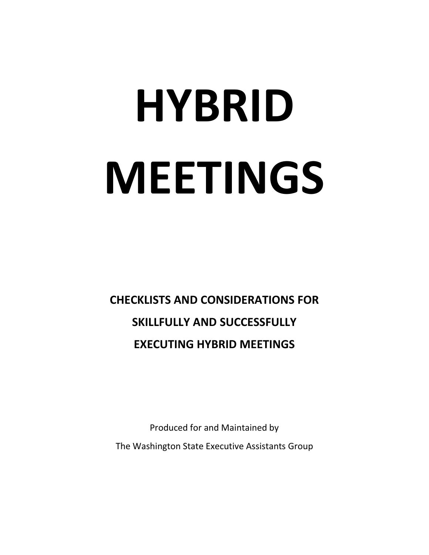# **HYBRID MEETINGS**

**CHECKLISTS AND CONSIDERATIONS FOR SKILLFULLY AND SUCCESSFULLY EXECUTING HYBRID MEETINGS**

Produced for and Maintained by The Washington State Executive Assistants Group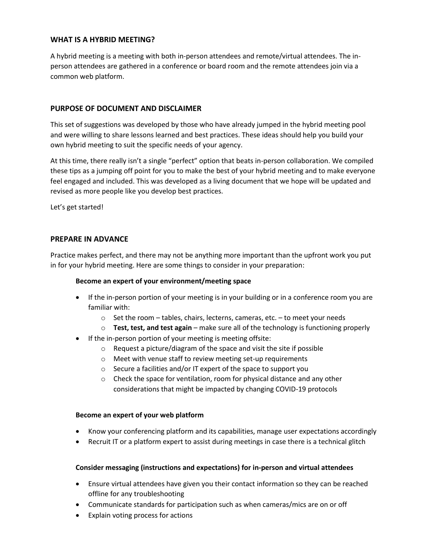## **WHAT IS A HYBRID MEETING?**

A hybrid meeting is a meeting with both in-person attendees and remote/virtual attendees. The inperson attendees are gathered in a conference or board room and the remote attendees join via a common web platform.

## **PURPOSE OF DOCUMENT AND DISCLAIMER**

This set of suggestions was developed by those who have already jumped in the hybrid meeting pool and were willing to share lessons learned and best practices. These ideas should help you build your own hybrid meeting to suit the specific needs of your agency.

At this time, there really isn't a single "perfect" option that beats in-person collaboration. We compiled these tips as a jumping off point for you to make the best of your hybrid meeting and to make everyone feel engaged and included. This was developed as a living document that we hope will be updated and revised as more people like you develop best practices.

Let's get started!

#### **PREPARE IN ADVANCE**

Practice makes perfect, and there may not be anything more important than the upfront work you put in for your hybrid meeting. Here are some things to consider in your preparation:

#### **Become an expert of your environment/meeting space**

- If the in-person portion of your meeting is in your building or in a conference room you are familiar with:
	- $\circ$  Set the room tables, chairs, lecterns, cameras, etc. to meet your needs
	- o **Test, test, and test again** make sure all of the technology is functioning properly
- If the in-person portion of your meeting is meeting offsite:
	- o Request a picture/diagram of the space and visit the site if possible
	- o Meet with venue staff to review meeting set-up requirements
	- o Secure a facilities and/or IT expert of the space to support you
	- o Check the space for ventilation, room for physical distance and any other considerations that might be impacted by changing COVID-19 protocols

#### **Become an expert of your web platform**

- Know your conferencing platform and its capabilities, manage user expectations accordingly
- Recruit IT or a platform expert to assist during meetings in case there is a technical glitch

#### **Consider messaging (instructions and expectations) for in-person and virtual attendees**

- Ensure virtual attendees have given you their contact information so they can be reached offline for any troubleshooting
- Communicate standards for participation such as when cameras/mics are on or off
- Explain voting process for actions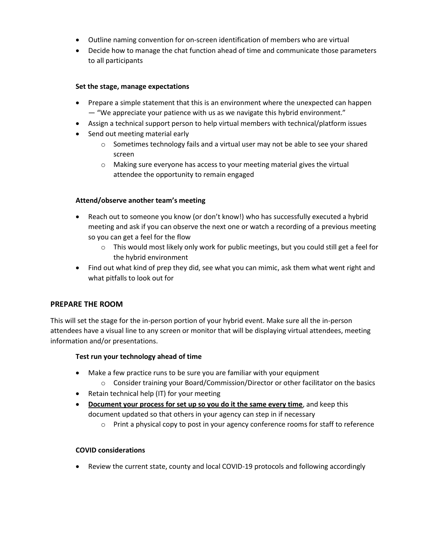- Outline naming convention for on-screen identification of members who are virtual
- Decide how to manage the chat function ahead of time and communicate those parameters to all participants

#### **Set the stage, manage expectations**

- Prepare a simple statement that this is an environment where the unexpected can happen — "We appreciate your patience with us as we navigate this hybrid environment."
- Assign a technical support person to help virtual members with technical/platform issues
- Send out meeting material early
	- $\circ$  Sometimes technology fails and a virtual user may not be able to see your shared screen
	- o Making sure everyone has access to your meeting material gives the virtual attendee the opportunity to remain engaged

#### **Attend/observe another team's meeting**

- Reach out to someone you know (or don't know!) who has successfully executed a hybrid meeting and ask if you can observe the next one or watch a recording of a previous meeting so you can get a feel for the flow
	- $\circ$  This would most likely only work for public meetings, but you could still get a feel for the hybrid environment
- Find out what kind of prep they did, see what you can mimic, ask them what went right and what pitfalls to look out for

#### **PREPARE THE ROOM**

This will set the stage for the in-person portion of your hybrid event. Make sure all the in-person attendees have a visual line to any screen or monitor that will be displaying virtual attendees, meeting information and/or presentations.

## **Test run your technology ahead of time**

- Make a few practice runs to be sure you are familiar with your equipment
	- o Consider training your Board/Commission/Director or other facilitator on the basics
- Retain technical help (IT) for your meeting
- **Document your process for set up so you do it the same every time**, and keep this document updated so that others in your agency can step in if necessary
	- $\circ$  Print a physical copy to post in your agency conference rooms for staff to reference

## **COVID considerations**

Review the current state, county and local COVID-19 protocols and following accordingly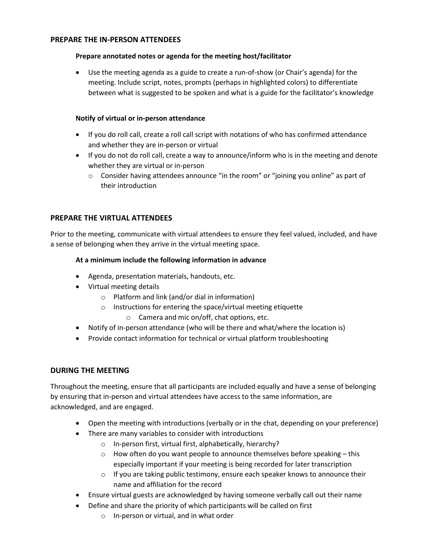## **PREPARE THE IN-PERSON ATTENDEES**

## **Prepare annotated notes or agenda for the meeting host/facilitator**

 Use the meeting agenda as a guide to create a run-of-show (or Chair's agenda) for the meeting. Include script, notes, prompts (perhaps in highlighted colors) to differentiate between what is suggested to be spoken and what is a guide for the facilitator's knowledge

## **Notify of virtual or in-person attendance**

- If you do roll call, create a roll call script with notations of who has confirmed attendance and whether they are in-person or virtual
- If you do not do roll call, create a way to announce/inform who is in the meeting and denote whether they are virtual or in-person
	- $\circ$  Consider having attendees announce "in the room" or "joining you online" as part of their introduction

## **PREPARE THE VIRTUAL ATTENDEES**

Prior to the meeting, communicate with virtual attendees to ensure they feel valued, included, and have a sense of belonging when they arrive in the virtual meeting space.

## **At a minimum include the following information in advance**

- Agenda, presentation materials, handouts, etc.
- Virtual meeting details
	- o Platform and link (and/or dial in information)
	- o Instructions for entering the space/virtual meeting etiquette
		- o Camera and mic on/off, chat options, etc.
- Notify of in-person attendance (who will be there and what/where the location is)
- Provide contact information for technical or virtual platform troubleshooting

## **DURING THE MEETING**

Throughout the meeting, ensure that all participants are included equally and have a sense of belonging by ensuring that in-person and virtual attendees have access to the same information, are acknowledged, and are engaged.

- Open the meeting with introductions (verbally or in the chat, depending on your preference)
- There are many variables to consider with introductions
	- o In-person first, virtual first, alphabetically, hierarchy?
	- $\circ$  How often do you want people to announce themselves before speaking this especially important if your meeting is being recorded for later transcription
	- $\circ$  If you are taking public testimony, ensure each speaker knows to announce their name and affiliation for the record
- Ensure virtual guests are acknowledged by having someone verbally call out their name
- Define and share the priority of which participants will be called on first
	- o In-person or virtual, and in what order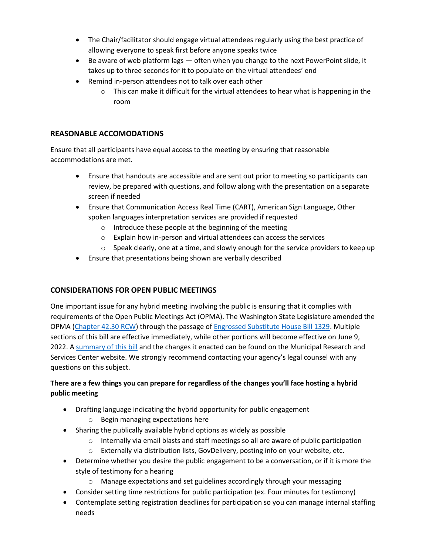- The Chair/facilitator should engage virtual attendees regularly using the best practice of allowing everyone to speak first before anyone speaks twice
- $\bullet$  Be aware of web platform lags  $-$  often when you change to the next PowerPoint slide, it takes up to three seconds for it to populate on the virtual attendees' end
- Remind in-person attendees not to talk over each other
	- $\circ$  This can make it difficult for the virtual attendees to hear what is happening in the room

# **REASONABLE ACCOMODATIONS**

Ensure that all participants have equal access to the meeting by ensuring that reasonable accommodations are met.

- Ensure that handouts are accessible and are sent out prior to meeting so participants can review, be prepared with questions, and follow along with the presentation on a separate screen if needed
- Ensure that Communication Access Real Time (CART), American Sign Language, Other spoken languages interpretation services are provided if requested
	- o Introduce these people at the beginning of the meeting
	- o Explain how in-person and virtual attendees can access the services
	- $\circ$  Speak clearly, one at a time, and slowly enough for the service providers to keep up
- Ensure that presentations being shown are verbally described

## **CONSIDERATIONS FOR OPEN PUBLIC MEETINGS**

One important issue for any hybrid meeting involving the public is ensuring that it complies with requirements of the Open Public Meetings Act (OPMA). The Washington State Legislature amended the OPMA [\(Chapter 42.30 RCW\)](https://apps.leg.wa.gov/rcw/default.aspx?cite=42.30) through the passage of [Engrossed Substitute House Bill 1329.](https://gcc02.safelinks.protection.outlook.com/?url=https%3A%2F%2Flawfilesext.leg.wa.gov%2Fbiennium%2F2021-22%2FPdf%2FBills%2FHouse%2520Passed%2520Legislature%2F1329-S.PL.pdf%3Fq%3D20220330095552&data=04%7C01%7Cdustin.dickson%40lcb.wa.gov%7C50f7ad09487b4acbf5e408da1285e301%7C11d0e217264e400a8ba057dcc127d72d%7C0%7C0%7C637842663487384029%7CUnknown%7CTWFpbGZsb3d8eyJWIjoiMC4wLjAwMDAiLCJQIjoiV2luMzIiLCJBTiI6Ik1haWwiLCJXVCI6Mn0%3D%7C3000&sdata=%2BQDcPJokv29d2dmIVhkiu2xeykdxojo2KyTWLsQpTkk%3D&reserved=0) Multiple sections of this bill are effective immediately, while other portions will become effective on June 9, 2022. [A summary of this bill](https://mrsc.org/Home/Stay-Informed/MRSC-Insight/March-2022/The-OPMA-Gets-an-Update-from-the-Legislature.aspx) and the changes it enacted can be found on the Municipal Research and Services Center website. We strongly recommend contacting your agency's legal counsel with any questions on this subject.

# **There are a few things you can prepare for regardless of the changes you'll face hosting a hybrid public meeting**

- Drafting language indicating the hybrid opportunity for public engagement
	- o Begin managing expectations here
- Sharing the publically available hybrid options as widely as possible
	- $\circ$  Internally via email blasts and staff meetings so all are aware of public participation
	- o Externally via distribution lists, GovDelivery, posting info on your website, etc.
- Determine whether you desire the public engagement to be a conversation, or if it is more the style of testimony for a hearing
	- o Manage expectations and set guidelines accordingly through your messaging
- Consider setting time restrictions for public participation (ex. Four minutes for testimony)
- Contemplate setting registration deadlines for participation so you can manage internal staffing needs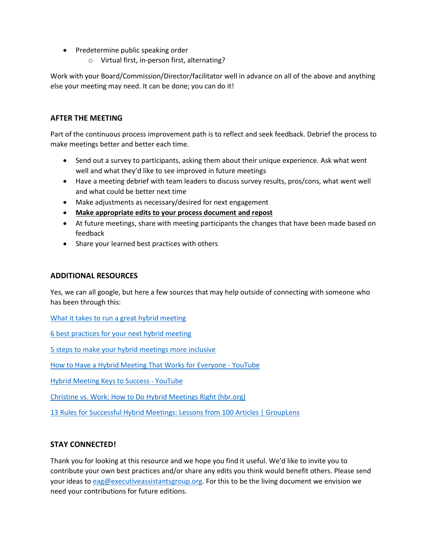- Predetermine public speaking order
	- o Virtual first, in-person first, alternating?

Work with your Board/Commission/Director/facilitator well in advance on all of the above and anything else your meeting may need. It can be done; you can do it!

# **AFTER THE MEETING**

Part of the continuous process improvement path is to reflect and seek feedback. Debrief the process to make meetings better and better each time.

- Send out a survey to participants, asking them about their unique experience. Ask what went well and what they'd like to see improved in future meetings
- Have a meeting debrief with team leaders to discuss survey results, pros/cons, what went well and what could be better next time
- Make adjustments as necessary/desired for next engagement
- **Make appropriate edits to your process document and repost**
- At future meetings, share with meeting participants the changes that have been made based on feedback
- Share your learned best practices with others

## **ADDITIONAL RESOURCES**

Yes, we can all google, but here a few sources that may help outside of connecting with someone who has been through this:

[What it takes to run a great hybrid meeting](https://hbr.org/2021/06/what-it-takes-to-run-a-great-hybrid-meeting)

[6 best practices for your next hybrid meeting](https://www.engagementmultiplier.com/resources/6-best-practices-for-your-next-hybrid-meeting/)

[5 steps to make your hybrid meetings more inclusive](https://kadence.co/news/hybrid-meetings/#:~:text=A%20hybrid%20meeting%20involves%20a,in%20a%20dedicated%20meeting%20room)

[How to Have a Hybrid Meeting That Works for Everyone -](https://gcc02.safelinks.protection.outlook.com/?url=https%3A%2F%2Fwww.youtube.com%2Fwatch%3Fv%3DqRSrgLtok7I&data=05%7C01%7Cdustin.dickson%40lcb.wa.gov%7C89f21e04de26420b350a08da2308cb4e%7C11d0e217264e400a8ba057dcc127d72d%7C0%7C0%7C637860817924920779%7CUnknown%7CTWFpbGZsb3d8eyJWIjoiMC4wLjAwMDAiLCJQIjoiV2luMzIiLCJBTiI6Ik1haWwiLCJXVCI6Mn0%3D%7C3000%7C%7C%7C&sdata=A3qBxqENeYHcjV%2FBWoaP63fDiYRMlYFdVgJWvDuGK6c%3D&reserved=0) YouTube

[Hybrid Meeting Keys to Success -](https://gcc02.safelinks.protection.outlook.com/?url=https%3A%2F%2Fwww.youtube.com%2Fwatch%3Fv%3DBleFeag5vIY&data=05%7C01%7Cdustin.dickson%40lcb.wa.gov%7C89f21e04de26420b350a08da2308cb4e%7C11d0e217264e400a8ba057dcc127d72d%7C0%7C0%7C637860817924920779%7CUnknown%7CTWFpbGZsb3d8eyJWIjoiMC4wLjAwMDAiLCJQIjoiV2luMzIiLCJBTiI6Ik1haWwiLCJXVCI6Mn0%3D%7C3000%7C%7C%7C&sdata=L%2FBllCASD1B5pmTISc20CtBsfsisCRmU8G7o%2BxCM49o%3D&reserved=0) YouTube

[Christine vs. Work: How to Do Hybrid Meetings Right \(hbr.org\)](https://gcc02.safelinks.protection.outlook.com/?url=https%3A%2F%2Fhbr.org%2F2021%2F11%2Fchristine-vs-work-how-to-do-hybrid-meetings-right&data=05%7C01%7Cdustin.dickson%40lcb.wa.gov%7C89f21e04de26420b350a08da2308cb4e%7C11d0e217264e400a8ba057dcc127d72d%7C0%7C0%7C637860817924920779%7CUnknown%7CTWFpbGZsb3d8eyJWIjoiMC4wLjAwMDAiLCJQIjoiV2luMzIiLCJBTiI6Ik1haWwiLCJXVCI6Mn0%3D%7C3000%7C%7C%7C&sdata=I743isi7JcMpN137tJIAUaAK7DDS%2BZ2sEVe4YiYdERs%3D&reserved=0)

[13 Rules for Successful Hybrid Meetings: Lessons from 100 Articles | GroupLens](https://gcc02.safelinks.protection.outlook.com/?url=https%3A%2F%2Fgrouplens.org%2Fblog%2F13-rules-for-successful-hybrid-meetings-lessons-from-100-articles%2F&data=05%7C01%7Cdustin.dickson%40lcb.wa.gov%7C89f21e04de26420b350a08da2308cb4e%7C11d0e217264e400a8ba057dcc127d72d%7C0%7C0%7C637860817924920779%7CUnknown%7CTWFpbGZsb3d8eyJWIjoiMC4wLjAwMDAiLCJQIjoiV2luMzIiLCJBTiI6Ik1haWwiLCJXVCI6Mn0%3D%7C3000%7C%7C%7C&sdata=ckVQdJ3k4thF3wTWA83wm%2Bb1WiktsUsRqp0suhG2axk%3D&reserved=0)

## **STAY CONNECTED!**

Thank you for looking at this resource and we hope you find it useful. We'd like to invite you to contribute your own best practices and/or share any edits you think would benefit others. Please send your ideas t[o eag@executiveassistantsgroup.org.](mailto:eag@executiveassistantsgroup.org) For this to be the living document we envision we need your contributions for future editions.